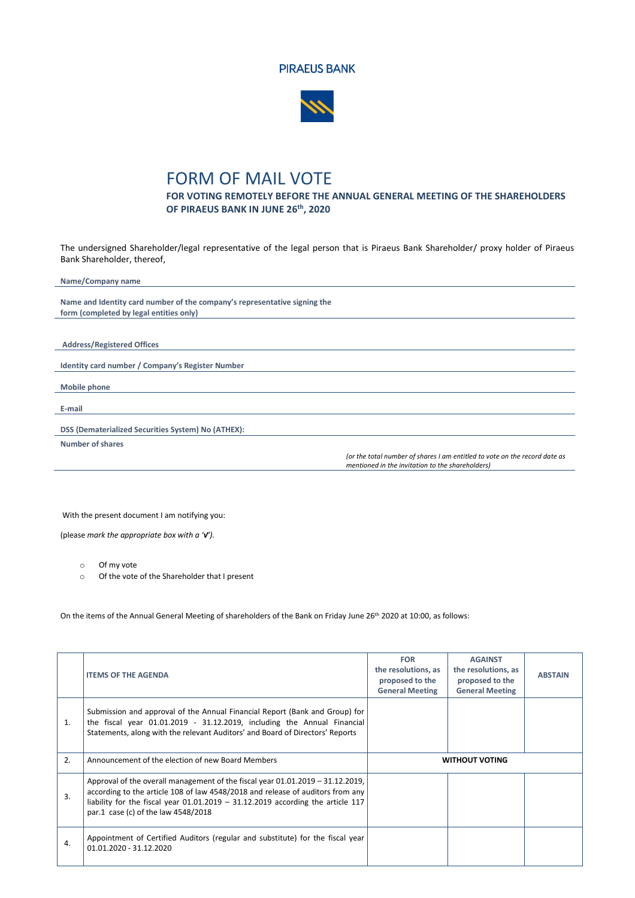



## FORM OF MAIL VOTE

**FOR VOTING REMOTELY BEFORE THE ANNUAL GENERAL MEETING OF THE SHAREHOLDERS OF PIRAEUS BANK IN JUNE 26 th, 2020**

The undersigned Shareholder/legal representative of the legal person that is Piraeus Bank Shareholder/ proxy holder of Piraeus Bank Shareholder, thereof,

| Name/Company name                                                         |                                                                            |
|---------------------------------------------------------------------------|----------------------------------------------------------------------------|
|                                                                           |                                                                            |
| Name and Identity card number of the company's representative signing the |                                                                            |
| form (completed by legal entities only)                                   |                                                                            |
|                                                                           |                                                                            |
|                                                                           |                                                                            |
| <b>Address/Registered Offices</b>                                         |                                                                            |
|                                                                           |                                                                            |
| Identity card number / Company's Register Number                          |                                                                            |
|                                                                           |                                                                            |
| Mobile phone                                                              |                                                                            |
|                                                                           |                                                                            |
| E-mail                                                                    |                                                                            |
|                                                                           |                                                                            |
| DSS (Dematerialized Securities System) No (ATHEX):                        |                                                                            |
| Number of shares                                                          |                                                                            |
|                                                                           | (or the total number of shares I am entitled to vote on the record date as |
|                                                                           | mentioned in the invitation to the shareholders)                           |

With the present document I am notifying you:

(please *mark the appropriate box with a '√').* 

o Of my vote

o Of the vote of the Shareholder that I present

On the items of the Annual General Meeting of shareholders of the Bank on Friday June 26<sup>th</sup> 2020 at 10:00, as follows:

|    | <b>ITEMS OF THE AGENDA</b>                                                                                                                                                                                                              | <b>FOR</b><br>the resolutions, as<br>proposed to the<br><b>General Meeting</b> | <b>AGAINST</b><br>the resolutions, as<br>proposed to the<br><b>General Meeting</b> | <b>ABSTAIN</b> |
|----|-----------------------------------------------------------------------------------------------------------------------------------------------------------------------------------------------------------------------------------------|--------------------------------------------------------------------------------|------------------------------------------------------------------------------------|----------------|
| 1. | Submission and approval of the Annual Financial Report (Bank and Group) for<br>the fiscal year 01.01.2019 - 31.12.2019, including the Annual Financial<br>Statements, along with the relevant Auditors' and Board of Directors' Reports |                                                                                |                                                                                    |                |
| 2. | Announcement of the election of new Board Members                                                                                                                                                                                       |                                                                                | <b>WITHOUT VOTING</b>                                                              |                |
|    | Approval of the overall management of the fiscal year $01.01.2019 - 31.12.2019$ ,                                                                                                                                                       |                                                                                |                                                                                    |                |
| 3. | according to the article 108 of law 4548/2018 and release of auditors from any<br>liability for the fiscal year $01.01.2019 - 31.12.2019$ according the article 117<br>par.1 case (c) of the law 4548/2018                              |                                                                                |                                                                                    |                |